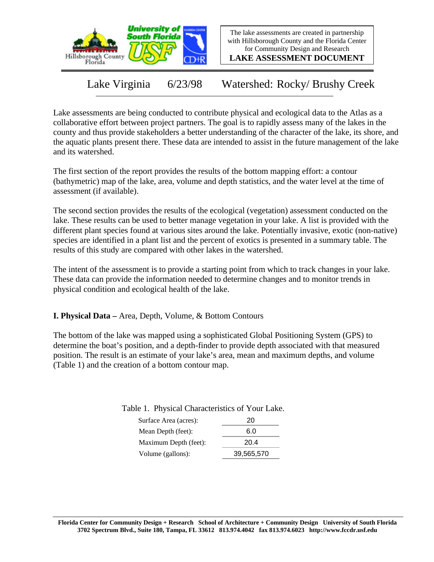

The lake assessments are created in partnership with Hillsborough County and the Florida Center for Community Design and Research

**LAKE ASSESSMENT DOCUMENT**

Lake Virginia 6/23/98 Watershed: Rocky/ Brushy Creek

Lake assessments are being conducted to contribute physical and ecological data to the Atlas as a collaborative effort between project partners. The goal is to rapidly assess many of the lakes in the county and thus provide stakeholders a better understanding of the character of the lake, its shore, and the aquatic plants present there. These data are intended to assist in the future management of the lake and its watershed.

The first section of the report provides the results of the bottom mapping effort: a contour (bathymetric) map of the lake, area, volume and depth statistics, and the water level at the time of assessment (if available).

The second section provides the results of the ecological (vegetation) assessment conducted on the lake. These results can be used to better manage vegetation in your lake. A list is provided with the different plant species found at various sites around the lake. Potentially invasive, exotic (non-native) species are identified in a plant list and the percent of exotics is presented in a summary table. The results of this study are compared with other lakes in the watershed.

The intent of the assessment is to provide a starting point from which to track changes in your lake. These data can provide the information needed to determine changes and to monitor trends in physical condition and ecological health of the lake.

**I. Physical Data –** Area, Depth, Volume, & Bottom Contours

The bottom of the lake was mapped using a sophisticated Global Positioning System (GPS) to determine the boat's position, and a depth-finder to provide depth associated with that measured position. The result is an estimate of your lake's area, mean and maximum depths, and volume (Table 1) and the creation of a bottom contour map.

Table 1. Physical Characteristics of Your Lake.

| Surface Area (acres): | 20         |
|-----------------------|------------|
| Mean Depth (feet):    | 6.0        |
| Maximum Depth (feet): | 20.4       |
| Volume (gallons):     | 39,565,570 |
|                       |            |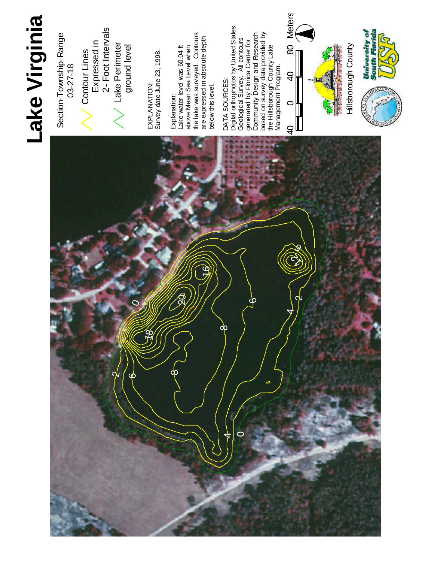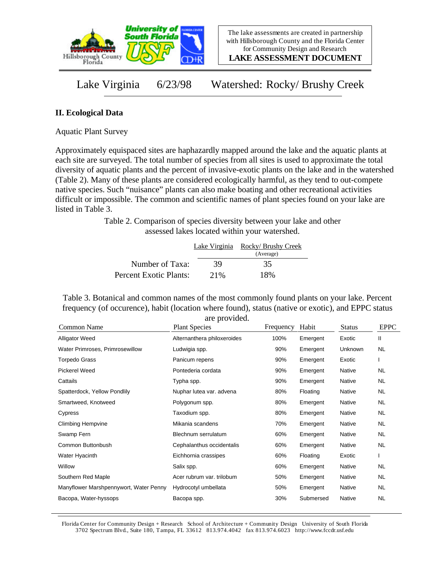

**LAKE ASSESSMENT DOCUMENT**

Lake Virginia 6/23/98 Watershed: Rocky/ Brushy Creek

## **II. Ecological Data**

Aquatic Plant Survey

Approximately equispaced sites are haphazardly mapped around the lake and the aquatic plants at each site are surveyed. The total number of species from all sites is used to approximate the total diversity of aquatic plants and the percent of invasive-exotic plants on the lake and in the watershed (Table 2). Many of these plants are considered ecologically harmful, as they tend to out-compete native species. Such "nuisance" plants can also make boating and other recreational activities difficult or impossible. The common and scientific names of plant species found on your lake are listed in Table 3.

> Table 2. Comparison of species diversity between your lake and other assessed lakes located within your watershed.

|                        |     | Lake Virginia Rocky/Brushy Creek |
|------------------------|-----|----------------------------------|
|                        |     | (Average)                        |
| Number of Taxa:        | 39  | 35                               |
| Percent Exotic Plants: | 21% | 18%                              |

Table 3. Botanical and common names of the most commonly found plants on your lake. Percent frequency (of occurence), habit (location where found), status (native or exotic), and EPPC status are provided.

| Common Name                            | <b>Plant Species</b>        | Frequency | Habit     | <b>Status</b> | <b>EPPC</b> |
|----------------------------------------|-----------------------------|-----------|-----------|---------------|-------------|
| <b>Alligator Weed</b>                  | Alternanthera philoxeroides | 100%      | Emergent  | Exotic        | Ш           |
| Water Primroses, Primrosewillow        | Ludwigia spp.               | 90%       | Emergent  | Unknown       | <b>NL</b>   |
| Torpedo Grass                          | Panicum repens              | 90%       | Emergent  | Exotic        |             |
| <b>Pickerel Weed</b>                   | Pontederia cordata          | 90%       | Emergent  | Native        | NL.         |
| Cattails                               | Typha spp.                  | 90%       | Emergent  | Native        | <b>NL</b>   |
| Spatterdock, Yellow Pondlily           | Nuphar lutea var. advena    | 80%       | Floating  | Native        | NL.         |
| Smartweed, Knotweed                    | Polygonum spp.              | 80%       | Emergent  | Native        | NL.         |
| Cypress                                | Taxodium spp.               | 80%       | Emergent  | Native        | NL.         |
| <b>Climbing Hempvine</b>               | Mikania scandens            | 70%       | Emergent  | Native        | NL.         |
| Swamp Fern                             | Blechnum serrulatum         | 60%       | Emergent  | Native        | NL.         |
| Common Buttonbush                      | Cephalanthus occidentalis   | 60%       | Emergent  | Native        | <b>NL</b>   |
| Water Hyacinth                         | Eichhornia crassipes        | 60%       | Floating  | Exotic        |             |
| Willow                                 | Salix spp.                  | 60%       | Emergent  | Native        | <b>NL</b>   |
| Southern Red Maple                     | Acer rubrum var. trilobum   | 50%       | Emergent  | Native        | <b>NL</b>   |
| Manyflower Marshpennywort, Water Penny | Hydrocotyl umbellata        | 50%       | Emergent  | Native        | NL.         |
| Bacopa, Water-hyssops                  | Bacopa spp.                 | 30%       | Submersed | Native        | <b>NL</b>   |

Florida Center for Community Design + Research School of Architecture + Community Design University of South Florida 3702 Spectrum Blvd., Suite 180, Tampa, FL 33612 813.974.4042 fax 813.974.6023 http://www.fccdr.usf.edu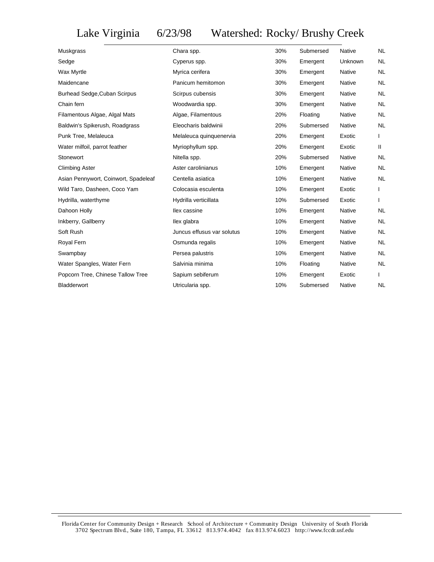## Lake Virginia 6/23/98 Watershed: Rocky/ Brushy Creek

| Muskgrass                            | Chara spp.                 | 30% | Submersed | <b>Native</b> | <b>NL</b> |
|--------------------------------------|----------------------------|-----|-----------|---------------|-----------|
| Sedge                                | Cyperus spp.               | 30% | Emergent  | Unknown       | <b>NL</b> |
| Wax Myrtle                           | Myrica cerifera            | 30% | Emergent  | Native        | <b>NL</b> |
| Maidencane                           | Panicum hemitomon          | 30% | Emergent  | Native        | NL.       |
| <b>Burhead Sedge, Cuban Scirpus</b>  | Scirpus cubensis           | 30% | Emergent  | <b>Native</b> | <b>NL</b> |
| Chain fern                           | Woodwardia spp.            | 30% | Emergent  | <b>Native</b> | <b>NL</b> |
| Filamentous Algae, Algal Mats        | Algae, Filamentous         | 20% | Floating  | <b>Native</b> | <b>NL</b> |
| Baldwin's Spikerush, Roadgrass       | Eleocharis baldwinii       | 20% | Submersed | Native        | NL.       |
| Punk Tree, Melaleuca                 | Melaleuca quinquenervia    | 20% | Emergent  | Exotic        |           |
| Water milfoil, parrot feather        | Myriophyllum spp.          | 20% | Emergent  | Exotic        | Ш.        |
| Stonewort                            | Nitella spp.               | 20% | Submersed | <b>Native</b> | <b>NL</b> |
| <b>Climbing Aster</b>                | Aster carolinianus         | 10% | Emergent  | Native        | <b>NL</b> |
| Asian Pennywort, Coinwort, Spadeleaf | Centella asiatica          | 10% | Emergent  | <b>Native</b> | <b>NL</b> |
| Wild Taro, Dasheen, Coco Yam         | Colocasia esculenta        | 10% | Emergent  | Exotic        |           |
| Hydrilla, waterthyme                 | Hydrilla verticillata      | 10% | Submersed | Exotic        |           |
| Dahoon Holly                         | llex cassine               | 10% | Emergent  | Native        | <b>NL</b> |
| Inkberry, Gallberry                  | llex glabra                | 10% | Emergent  | Native        | <b>NL</b> |
| Soft Rush                            | Juncus effusus var solutus | 10% | Emergent  | Native        | <b>NL</b> |
| Royal Fern                           | Osmunda regalis            | 10% | Emergent  | <b>Native</b> | <b>NL</b> |
| Swampbay                             | Persea palustris           | 10% | Emergent  | <b>Native</b> | <b>NL</b> |
| Water Spangles, Water Fern           | Salvinia minima            | 10% | Floating  | Native        | NL.       |
| Popcorn Tree, Chinese Tallow Tree    | Sapium sebiferum           | 10% | Emergent  | Exotic        |           |
| Bladderwort                          | Utricularia spp.           | 10% | Submersed | Native        | <b>NL</b> |